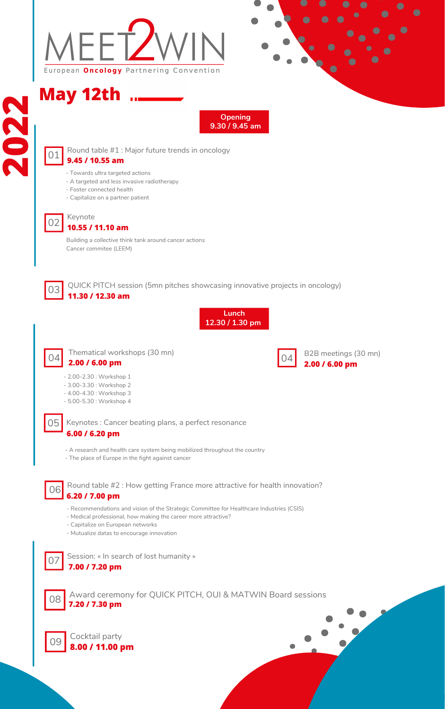

**2**

 **9.45 / 10.55 am** Round table #1 : Major future trends in oncology



### Keynote **10.55 / 11.10 am**

**May 12th**



### 05 Keynotes : Cancer beating plans, a perfect resonance **6.00 / 6.20 pm**

QUICK PITCH session (5mn pitches showcasing innovative projects in oncology) **11.30 / 12.30 am**



Thematical workshops (30 mn) **2.00 / 6.00 pm**

06 Round table #2 : How getting France more attractive for health innovation? **6.20 / 7.00 pm**



Session: « In search of lost humanity »

**7.00 / 7.20 pm**





Award ceremony for QUICK PITCH, OUI & MATWIN Board sessions **7.20 / 7.30 pm**





**Opening 9.30 / 9.45 am**

**Lunch 12.30 / 1.30 pm**

- Towards ultra targeted actions
- A targeted and less invasive radiotherapy
- Foster connected health

- Capitalize on a partner patient

Building a collective think tank around cancer actions Cancer commitee (LEEM)

- A research and health care system being mobilized throughout the country
- The place of Europe in the fight against cancer



B2B meetings (30 mn) **2.00 / 6.00 pm**

2.00-2.30 : Workshop 1

- 
- 3.00-3.30 : Workshop 2
- 4.00-4.30 : Workshop 3
- 5.00-5.30 : Workshop 4

- Recommendations and vision of the Strategic Committee for Healthcare Industries (CSIS)
- Medical professional, how making the career more attractive?
- Capitalize on European networks
- Mutualize datas to encourage innovation